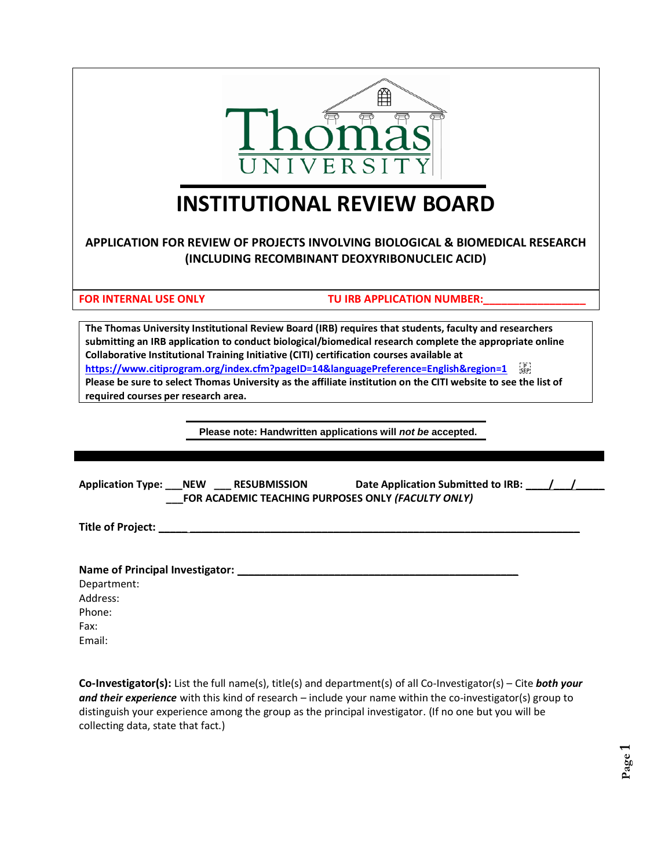

# **INSTITUTIONAL REVIEW BOARD**

# **APPLICATION FOR REVIEW OF PROJECTS INVOLVING BIOLOGICAL & BIOMEDICAL RESEARCH (INCLUDING RECOMBINANT DEOXYRIBONUCLEIC ACID)**

FOR INTERNAL USE ONLY **TU IRB APPLICATION NUMBER:** 

**The Thomas University Institutional Review Board (IRB) requires that students, faculty and researchers submitting an IRB application to conduct biological/biomedical research complete the appropriate online Collaborative Institutional Training Initiative (CITI) certification courses available at**  https://www.citiprogram.org/index.cfm?pageID=14&languagePreference=English&region=1 **Please be sure to select Thomas University as the affiliate institution on the CITI website to see the list of required courses per research area.**

**Please note: Handwritten applications will** *not be* **accepted.**

| Application Type: NEW RESUBMISSION | Date Application Submitted to IRB: ///<br>FOR ACADEMIC TEACHING PURPOSES ONLY (FACULTY ONLY) |  |
|------------------------------------|----------------------------------------------------------------------------------------------|--|
|                                    |                                                                                              |  |
|                                    |                                                                                              |  |
| Department:                        |                                                                                              |  |
| Address:                           |                                                                                              |  |
| Phone:                             |                                                                                              |  |

Phone: Fax: Email:

**Co-Investigator(s):** List the full name(s), title(s) and department(s) of all Co-Investigator(s) – Cite *both your and their experience* with this kind of research – include your name within the co-investigator(s) group to distinguish your experience among the group as the principal investigator. (If no one but you will be collecting data, state that fact.)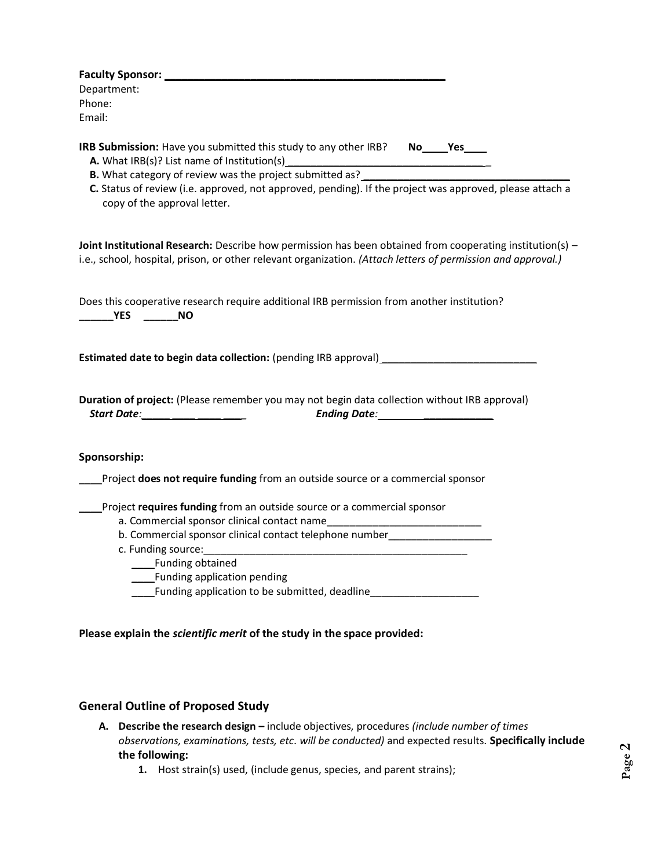| Department:                                                                                                                                                                                                               |
|---------------------------------------------------------------------------------------------------------------------------------------------------------------------------------------------------------------------------|
| Phone:                                                                                                                                                                                                                    |
| Email:                                                                                                                                                                                                                    |
| IRB Submission: Have you submitted this study to any other IRB? No____Yes____<br>A. What IRB(s)? List name of Institution(s)                                                                                              |
| C. Status of review (i.e. approved, not approved, pending). If the project was approved, please attach a<br>copy of the approval letter.                                                                                  |
| Joint Institutional Research: Describe how permission has been obtained from cooperating institution(s) -<br>i.e., school, hospital, prison, or other relevant organization. (Attach letters of permission and approval.) |
| Does this cooperative research require additional IRB permission from another institution?<br><b>Example 19 YES</b><br>$\rule{1em}{0.15mm}$ NO                                                                            |
| <b>Estimated date to begin data collection:</b> (pending IRB approval) <b>Example 2018</b>                                                                                                                                |
| Duration of project: (Please remember you may not begin data collection without IRB approval)<br>Start Date: _____ ____ ____ ___                                                                                          |
| Sponsorship:                                                                                                                                                                                                              |
| Project does not require funding from an outside source or a commercial sponsor                                                                                                                                           |
| Project requires funding from an outside source or a commercial sponsor                                                                                                                                                   |
|                                                                                                                                                                                                                           |
| b. Commercial sponsor clinical contact telephone number_________________________                                                                                                                                          |
|                                                                                                                                                                                                                           |
| _____Funding obtained                                                                                                                                                                                                     |
| Funding application pending                                                                                                                                                                                               |
| Funding application to be submitted, deadline                                                                                                                                                                             |
|                                                                                                                                                                                                                           |
| Please explain the scientific merit of the study in the space provided:                                                                                                                                                   |

## **General Outline of Proposed Study**

- **A. Describe the research design –** include objectives, procedures *(include number of times observations, examinations, tests, etc. will be conducted)* and expected results. **Specifically include the following:**
	- **1.** Host strain(s) used, (include genus, species, and parent strains);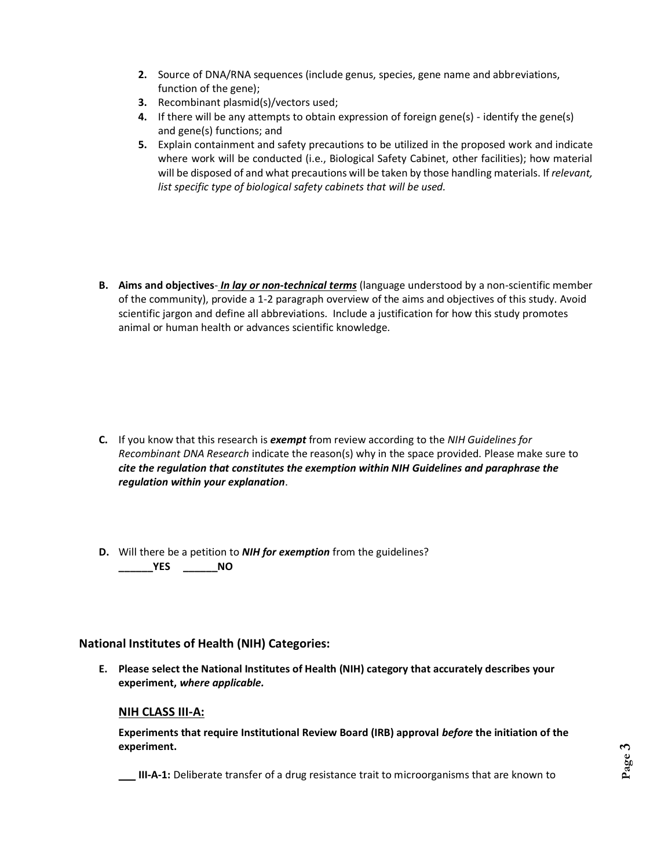- **2.** Source of DNA/RNA sequences (include genus, species, gene name and abbreviations, function of the gene);
- **3.** Recombinant plasmid(s)/vectors used;
- **4.** If there will be any attempts to obtain expression of foreign gene(s) identify the gene(s) and gene(s) functions; and
- **5.** Explain containment and safety precautions to be utilized in the proposed work and indicate where work will be conducted (i.e., Biological Safety Cabinet, other facilities); how material will be disposed of and what precautions will be taken by those handling materials. If *relevant, list specific type of biological safety cabinets that will be used.*
- **B. Aims and objectives** *In lay or non-technical terms* (language understood by a non-scientific member of the community), provide a 1-2 paragraph overview of the aims and objectives of this study. Avoid scientific jargon and define all abbreviations. Include a justification for how this study promotes animal or human health or advances scientific knowledge.

- **C.** If you know that this research is *exempt* from review according to the *NIH Guidelines for Recombinant DNA Research* indicate the reason(s) why in the space provided. Please make sure to *cite the regulation that constitutes the exemption within NIH Guidelines and paraphrase the regulation within your explanation*.
- **D.** Will there be a petition to *NIH for exemption* from the guidelines? **\_\_\_\_\_\_YES \_\_\_\_\_\_NO**

### **National Institutes of Health (NIH) Categories:**

**E. Please select the National Institutes of Health (NIH) category that accurately describes your experiment,** *where applicable.*

#### **NIH CLASS III-A:**

**Experiments that require Institutional Review Board (IRB) approval** *before* **the initiation of the experiment.**

\_\_\_ **III-A-1:** Deliberate transfer of a drug resistance trait to microorganisms that are known to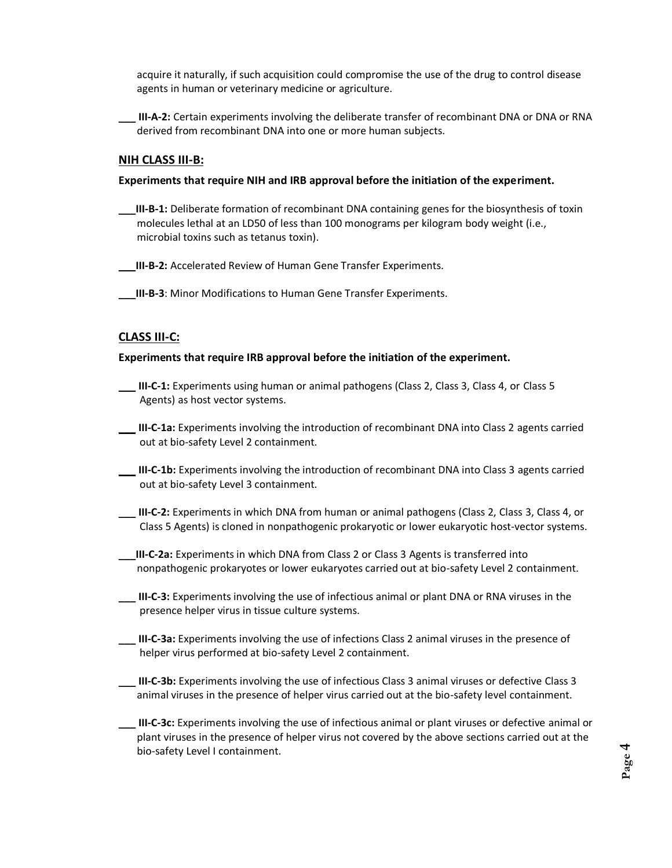acquire it naturally, if such acquisition could compromise the use of the drug to control disease agents in human or veterinary medicine or agriculture.

\_\_\_ **III-A-2:** Certain experiments involving the deliberate transfer of recombinant DNA or DNA or RNA derived from recombinant DNA into one or more human subjects.

#### **NIH CLASS III-B:**

#### **Experiments that require NIH and IRB approval before the initiation of the experiment.**

\_\_\_**III-B-1:** Deliberate formation of recombinant DNA containing genes for the biosynthesis of toxin molecules lethal at an LD50 of less than 100 monograms per kilogram body weight (i.e., microbial toxins such as tetanus toxin).

\_\_\_**III-B-2:** Accelerated Review of Human Gene Transfer Experiments.

**III-B-3**: Minor Modifications to Human Gene Transfer Experiments.

#### **CLASS III-C:**

#### **Experiments that require IRB approval before the initiation of the experiment.**

- \_\_\_ **III-C-1:** Experiments using human or animal pathogens (Class 2, Class 3, Class 4, or Class 5 Agents) as host vector systems.
- \_\_\_ **III-C-1a:** Experiments involving the introduction of recombinant DNA into Class 2 agents carried out at bio-safety Level 2 containment.
- \_\_\_ **III-C-1b:** Experiments involving the introduction of recombinant DNA into Class 3 agents carried out at bio-safety Level 3 containment.
- \_\_\_ **III-C-2:** Experiments in which DNA from human or animal pathogens (Class 2, Class 3, Class 4, or Class 5 Agents) is cloned in nonpathogenic prokaryotic or lower eukaryotic host-vector systems.
- \_\_\_**III-C-2a:** Experiments in which DNA from Class 2 or Class 3 Agents is transferred into nonpathogenic prokaryotes or lower eukaryotes carried out at bio-safety Level 2 containment.
- \_\_\_ **III-C-3:** Experiments involving the use of infectious animal or plant DNA or RNA viruses in the presence helper virus in tissue culture systems.
- \_\_\_ **III-C-3a:** Experiments involving the use of infections Class 2 animal viruses in the presence of helper virus performed at bio-safety Level 2 containment.
- \_\_\_ **III-C-3b:** Experiments involving the use of infectious Class 3 animal viruses or defective Class 3 animal viruses in the presence of helper virus carried out at the bio-safety level containment.
- \_\_\_ **III-C-3c:** Experiments involving the use of infectious animal or plant viruses or defective animal or plant viruses in the presence of helper virus not covered by the above sections carried out at the bio-safety Level I containment.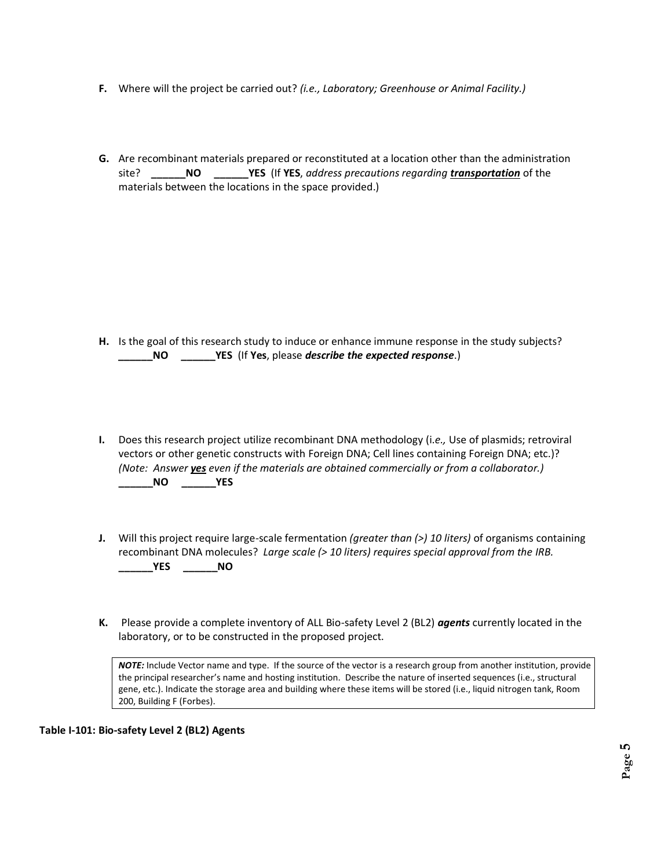- **F.** Where will the project be carried out? *(i.e., Laboratory; Greenhouse or Animal Facility.)*
- **G.** Are recombinant materials prepared or reconstituted at a location other than the administration site? **\_\_\_\_\_\_NO \_\_\_\_\_\_YES** (If **YES**, *address precautions regarding transportation* of the materials between the locations in the space provided.)

- **H.** Is the goal of this research study to induce or enhance immune response in the study subjects?  **\_\_\_\_\_\_NO \_\_\_\_\_\_YES** (If **Yes**, please *describe the expected response*.)
- **I.** Does this research project utilize recombinant DNA methodology (i.*e.,* Use of plasmids; retroviral vectors or other genetic constructs with Foreign DNA; Cell lines containing Foreign DNA; etc.)? *(Note: Answer yes even if the materials are obtained commercially or from a collaborator.)* **\_\_\_\_\_\_NO \_\_\_\_\_\_YES**
- **J.** Will this project require large-scale fermentation *(greater than (>) 10 liters)* of organisms containing recombinant DNA molecules? *Large scale (> 10 liters) requires special approval from the IRB.* **\_\_\_\_\_\_YES \_\_\_\_\_\_NO**
- **K.** Please provide a complete inventory of ALL Bio-safety Level 2 (BL2) *agents* currently located in the laboratory, or to be constructed in the proposed project.

*NOTE:* Include Vector name and type. If the source of the vector is a research group from another institution, provide the principal researcher's name and hosting institution. Describe the nature of inserted sequences (i.e., structural gene, etc.). Indicate the storage area and building where these items will be stored (i.e., liquid nitrogen tank, Room 200, Building F (Forbes).

**Table I-101: Bio-safety Level 2 (BL2) Agents**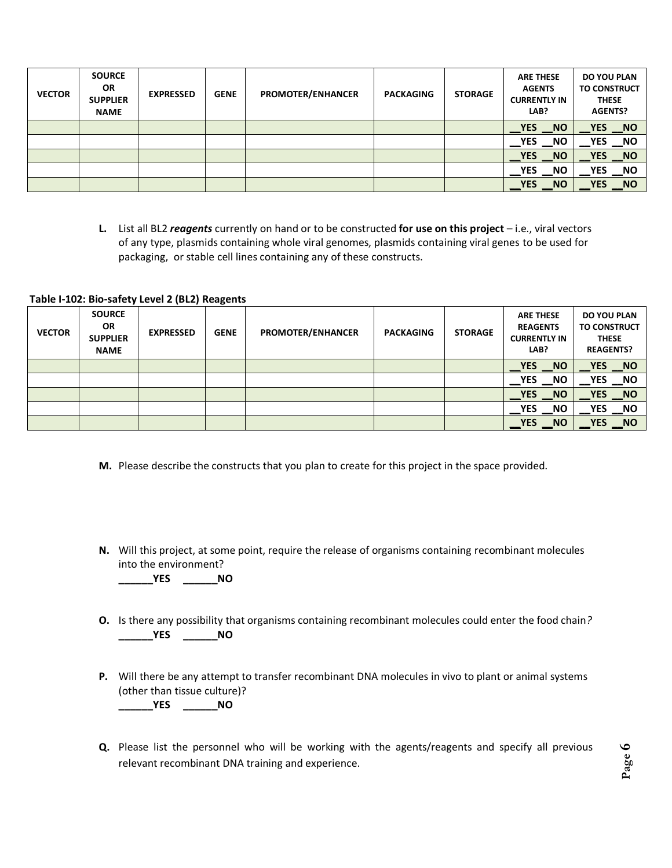| <b>VECTOR</b> | <b>SOURCE</b><br><b>OR</b><br><b>SUPPLIER</b><br><b>NAME</b> | <b>EXPRESSED</b> | <b>GENE</b> | <b>PROMOTER/ENHANCER</b> | <b>PACKAGING</b> | <b>STORAGE</b> | <b>ARE THESE</b><br><b>AGENTS</b><br><b>CURRENTLY IN</b><br>LAB? | <b>DO YOU PLAN</b><br><b>TO CONSTRUCT</b><br><b>THESE</b><br><b>AGENTS?</b> |
|---------------|--------------------------------------------------------------|------------------|-------------|--------------------------|------------------|----------------|------------------------------------------------------------------|-----------------------------------------------------------------------------|
|               |                                                              |                  |             |                          |                  |                | YES NO                                                           | YES NO                                                                      |
|               |                                                              |                  |             |                          |                  |                | <b>NO</b><br><b>YES</b>                                          | $\overline{\phantom{1}}$ NO<br><b>YES</b>                                   |
|               |                                                              |                  |             |                          |                  |                | <b>YES</b><br><b>NO</b>                                          | $N$ O<br><b>YES</b>                                                         |
|               |                                                              |                  |             |                          |                  |                | YES NO                                                           | $\sqrt{NQ}$<br><b>YES</b>                                                   |
|               |                                                              |                  |             |                          |                  |                | <b>NO</b><br><b>YES</b>                                          | <b>NO</b><br><b>YES</b>                                                     |

**L.** List all BL2 *reagents* currently on hand or to be constructed **for use on this project** – i.e., viral vectors of any type, plasmids containing whole viral genomes, plasmids containing viral genes to be used for packaging, or stable cell lines containing any of these constructs.

#### **Table I-102: Bio-safety Level 2 (BL2) Reagents**

| <b>VECTOR</b> | <b>SOURCE</b><br><b>OR</b><br><b>SUPPLIER</b><br><b>NAME</b> | <b>EXPRESSED</b> | <b>GENE</b> | <b>PROMOTER/ENHANCER</b> | <b>PACKAGING</b> | <b>STORAGE</b> | <b>ARE THESE</b><br><b>REAGENTS</b><br><b>CURRENTLY IN</b><br>LAB? | DO YOU PLAN<br><b>TO CONSTRUCT</b><br><b>THESE</b><br><b>REAGENTS?</b> |
|---------------|--------------------------------------------------------------|------------------|-------------|--------------------------|------------------|----------------|--------------------------------------------------------------------|------------------------------------------------------------------------|
|               |                                                              |                  |             |                          |                  |                | YES NO                                                             | YES NO                                                                 |
|               |                                                              |                  |             |                          |                  |                | <b>YES</b><br><b>NO</b>                                            | $\overline{\phantom{0}}$ NO<br><b>YES</b>                              |
|               |                                                              |                  |             |                          |                  |                | <b>YES</b><br><b>NO</b>                                            | NQ<br><b>YES</b>                                                       |
|               |                                                              |                  |             |                          |                  |                | <b>NO</b><br><b>YES</b>                                            | $\overline{\phantom{a}}$ NO<br>YES                                     |
|               |                                                              |                  |             |                          |                  |                | <b>NO</b><br><b>YES</b>                                            | N<br><b>YES</b>                                                        |

- **M.** Please describe the constructs that you plan to create for this project in the space provided.
- **N.** Will this project, at some point, require the release of organisms containing recombinant molecules into the environment?

**\_\_\_\_\_\_YES \_\_\_\_\_\_NO**

- **O.** Is there any possibility that organisms containing recombinant molecules could enter the food chain*?* **\_\_\_\_\_\_YES \_\_\_\_\_\_NO**
- **P.** Will there be any attempt to transfer recombinant DNA molecules in vivo to plant or animal systems (other than tissue culture)?

**\_\_\_\_\_\_YES \_\_\_\_\_\_NO**

**Q.** Please list the personnel who will be working with the agents/reagents and specify all previous relevant recombinant DNA training and experience.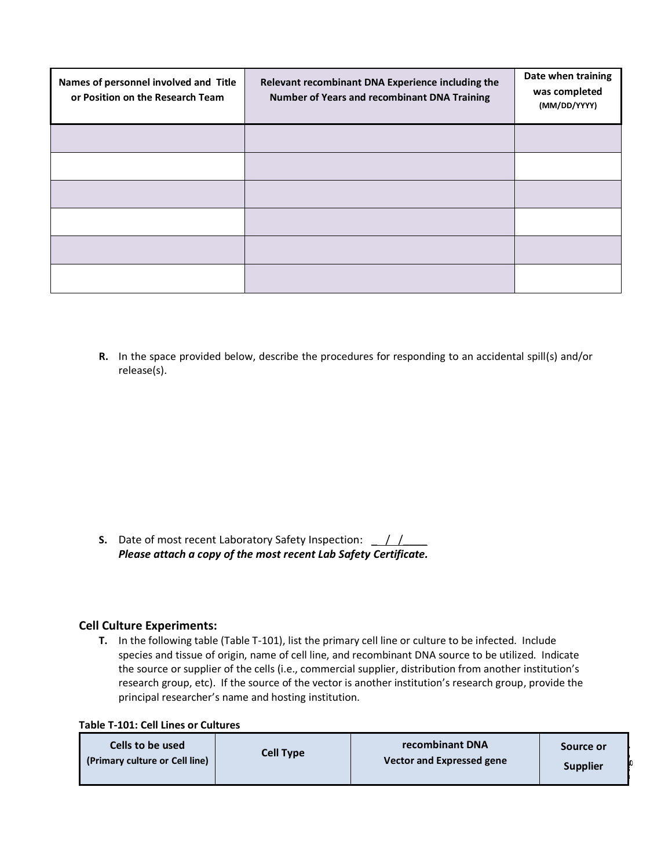| Names of personnel involved and Title<br>or Position on the Research Team | Relevant recombinant DNA Experience including the<br>Number of Years and recombinant DNA Training | Date when training<br>was completed<br>(MM/DD/YYYY) |
|---------------------------------------------------------------------------|---------------------------------------------------------------------------------------------------|-----------------------------------------------------|
|                                                                           |                                                                                                   |                                                     |
|                                                                           |                                                                                                   |                                                     |
|                                                                           |                                                                                                   |                                                     |
|                                                                           |                                                                                                   |                                                     |
|                                                                           |                                                                                                   |                                                     |
|                                                                           |                                                                                                   |                                                     |

**R.** In the space provided below, describe the procedures for responding to an accidental spill(s) and/or release(s).

**S.** Date of most recent Laboratory Safety Inspection: \_ / /\_\_\_\_ *Please attach a copy of the most recent Lab Safety Certificate.*

#### **Cell Culture Experiments:**

**T.** In the following table (Table T-101), list the primary cell line or culture to be infected. Include species and tissue of origin, name of cell line, and recombinant DNA source to be utilized. Indicate the source or supplier of the cells (i.e., commercial supplier, distribution from another institution's research group, etc).If the source of the vector is another institution's research group, provide the principal researcher's name and hosting institution.

|  |  |  |  |  | <b>Table T-101: Cell Lines or Cultures</b> |
|--|--|--|--|--|--------------------------------------------|
|--|--|--|--|--|--------------------------------------------|

| Cells to be used               | <b>Cell Type</b> | recombinant DNA           | Source or       |
|--------------------------------|------------------|---------------------------|-----------------|
| (Primary culture or Cell line) |                  | Vector and Expressed gene | <b>Supplier</b> |

**Page**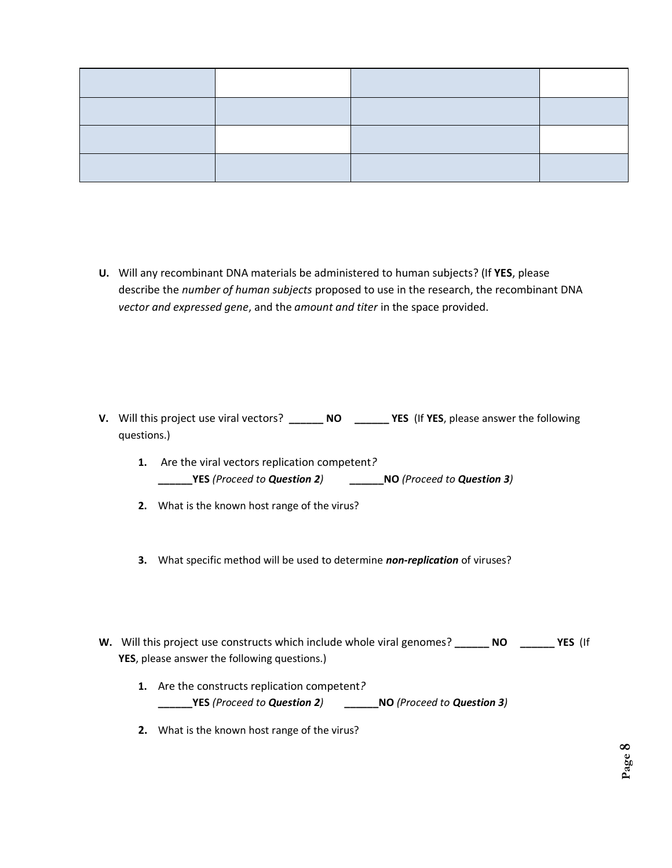**U.** Will any recombinant DNA materials be administered to human subjects? (If **YES**, please describe the *number of human subjects* proposed to use in the research, the recombinant DNA *vector and expressed gene*, and the *amount and titer* in the space provided.

- **V.** Will this project use viral vectors? **\_\_\_\_\_\_ NO \_\_\_\_\_\_ YES** (If **YES**, please answer the following questions.)
	- **1.** Are the viral vectors replication competent*?* **\_\_\_\_\_\_YES** *(Proceed to Question 2)* **\_\_\_\_\_\_NO** *(Proceed to Question 3)*
	- **2.** What is the known host range of the virus?
	- **3.** What specific method will be used to determine *non-replication* of viruses?
- **W.** Will this project use constructs which include whole viral genomes? **\_\_\_\_\_\_ NO \_\_\_\_\_\_ YES** (If **YES**, please answer the following questions.)
	- **1.** Are the constructs replication competent*?*  **\_\_\_\_\_\_YES** *(Proceed to Question 2)* **\_\_\_\_\_\_NO** *(Proceed to Question 3)*
	- **2.** What is the known host range of the virus?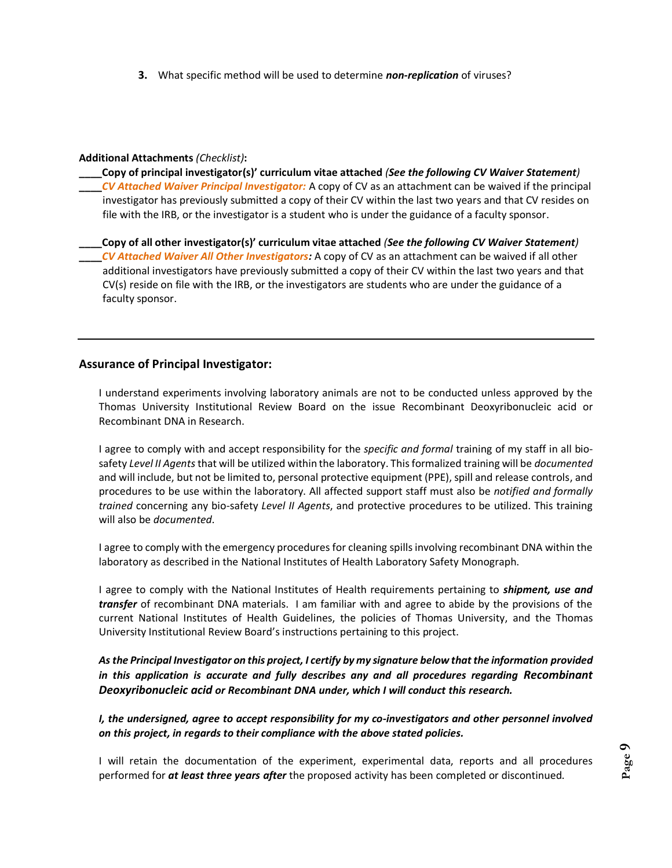**3.** What specific method will be used to determine *non-replication* of viruses?

#### **Additional Attachments** *(Checklist)***:**

**\_\_\_\_Copy of principal investigator(s)' curriculum vitae attached** *(See the following CV Waiver Statement)* **\_\_\_\_***CV Attached Waiver Principal Investigator:* A copy of CV as an attachment can be waived if the principal investigator has previously submitted a copy of their CV within the last two years and that CV resides on file with the IRB, or the investigator is a student who is under the guidance of a faculty sponsor.

**\_\_\_\_Copy of all other investigator(s)' curriculum vitae attached** *(See the following CV Waiver Statement)* **\_\_\_\_***CV Attached Waiver All Other Investigators:* A copy of CV as an attachment can be waived if all other additional investigators have previously submitted a copy of their CV within the last two years and that CV(s) reside on file with the IRB, or the investigators are students who are under the guidance of a faculty sponsor.

#### **Assurance of Principal Investigator:**

I understand experiments involving laboratory animals are not to be conducted unless approved by the Thomas University Institutional Review Board on the issue Recombinant Deoxyribonucleic acid or Recombinant DNA in Research.

I agree to comply with and accept responsibility for the *specific and formal* training of my staff in all biosafety *Level II Agents*that will be utilized within the laboratory. This formalized training will be *documented* and will include, but not be limited to, personal protective equipment (PPE), spill and release controls, and procedures to be use within the laboratory. All affected support staff must also be *notified and formally trained* concerning any bio-safety *Level II Agents*, and protective procedures to be utilized. This training will also be *documented*.

I agree to comply with the emergency procedures for cleaning spills involving recombinant DNA within the laboratory as described in the National Institutes of Health Laboratory Safety Monograph.

I agree to comply with the National Institutes of Health requirements pertaining to *shipment, use and transfer* of recombinant DNA materials. I am familiar with and agree to abide by the provisions of the current National Institutes of Health Guidelines, the policies of Thomas University, and the Thomas University Institutional Review Board's instructions pertaining to this project.

*As the Principal Investigator on this project, I certify by my signature below that the information provided in this application is accurate and fully describes any and all procedures regarding Recombinant Deoxyribonucleic acid or Recombinant DNA under, which I will conduct this research.*

*I, the undersigned, agree to accept responsibility for my co-investigators and other personnel involved on this project, in regards to their compliance with the above stated policies.*

I will retain the documentation of the experiment, experimental data, reports and all procedures performed for *at least three years after* the proposed activity has been completed or discontinued.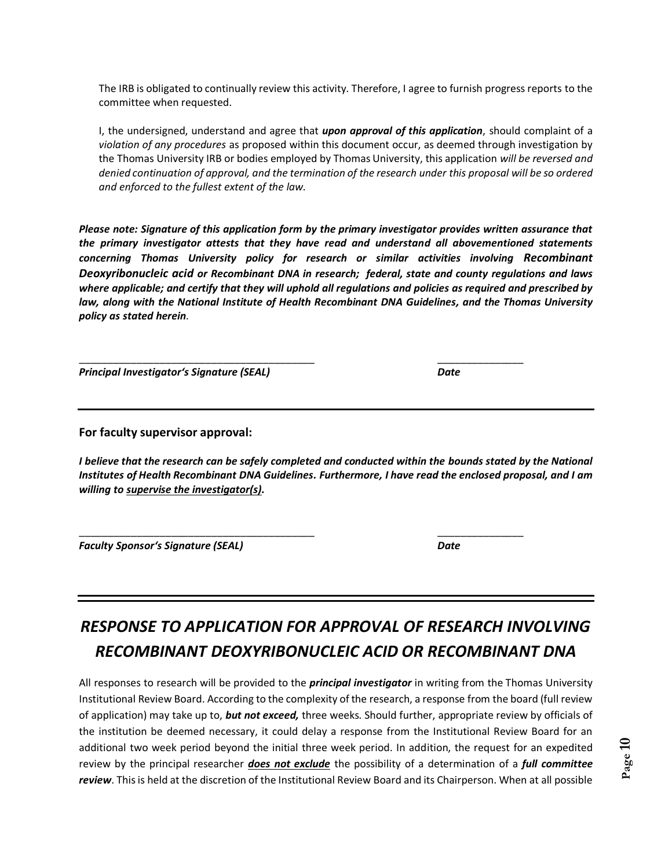The IRB is obligated to continually review this activity. Therefore, I agree to furnish progress reports to the committee when requested.

I, the undersigned, understand and agree that *upon approval of this application*, should complaint of a *violation of any procedures* as proposed within this document occur, as deemed through investigation by the Thomas University IRB or bodies employed by Thomas University, this application *will be reversed and denied continuation of approval, and the termination of the research under this proposal will be so ordered and enforced to the fullest extent of the law.*

*Please note: Signature of this application form by the primary investigator provides written assurance that the primary investigator attests that they have read and understand all abovementioned statements concerning Thomas University policy for research or similar activities involving Recombinant Deoxyribonucleic acid or Recombinant DNA in research; federal, state and county regulations and laws where applicable; and certify that they will uphold all regulations and policies as required and prescribed by law, along with the National Institute of Health Recombinant DNA Guidelines, and the Thomas University policy as stated herein.*

\_\_\_\_\_\_\_\_\_\_\_\_\_\_\_\_\_\_\_\_\_\_\_\_\_\_\_\_\_\_\_\_\_\_\_\_\_\_\_\_\_ \_\_\_\_\_\_\_\_\_\_\_\_\_\_\_

\_\_\_\_\_\_\_\_\_\_\_\_\_\_\_\_\_\_\_\_\_\_\_\_\_\_\_\_\_\_\_\_\_\_\_\_\_\_\_\_\_ \_\_\_\_\_\_\_\_\_\_\_\_\_\_\_

*Principal Investigator's Signature (SEAL) Date*

**For faculty supervisor approval:**

*I believe that the research can be safely completed and conducted within the bounds stated by the National Institutes of Health Recombinant DNA Guidelines. Furthermore, I have read the enclosed proposal, and I am willing to supervise the investigator(s).*

*Faculty Sponsor's Signature (SEAL) Date*

# *RESPONSE TO APPLICATION FOR APPROVAL OF RESEARCH INVOLVING RECOMBINANT DEOXYRIBONUCLEIC ACID OR RECOMBINANT DNA*

All responses to research will be provided to the *principal investigator* in writing from the Thomas University Institutional Review Board. According to the complexity of the research, a response from the board (full review of application) may take up to, *but not exceed,* three weeks. Should further, appropriate review by officials of the institution be deemed necessary, it could delay a response from the Institutional Review Board for an additional two week period beyond the initial three week period. In addition, the request for an expedited review by the principal researcher *does not exclude* the possibility of a determination of a *full committee review*. This is held at the discretion of the Institutional Review Board and its Chairperson. When at all possible